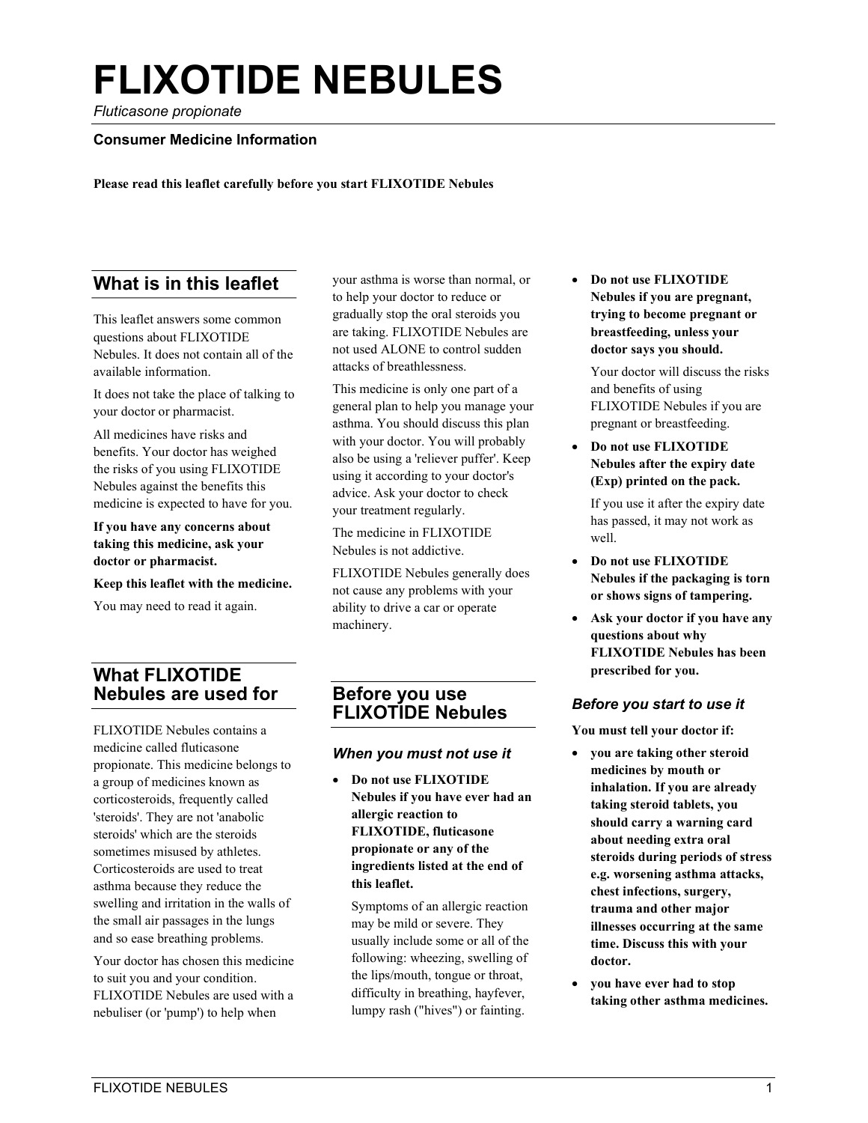# FLIXOTIDE NEBULES

Fluticasone propionate

## Consumer Medicine Information

Please read this leaflet carefully before you start FLIXOTIDE Nebules

# What is in this leaflet

This leaflet answers some common questions about FLIXOTIDE Nebules. It does not contain all of the available information.

It does not take the place of talking to your doctor or pharmacist.

All medicines have risks and benefits. Your doctor has weighed the risks of you using FLIXOTIDE Nebules against the benefits this medicine is expected to have for you.

If you have any concerns about taking this medicine, ask your doctor or pharmacist.

Keep this leaflet with the medicine.

You may need to read it again.

# What FLIXOTIDE Nebules are used for

FLIXOTIDE Nebules contains a medicine called fluticasone propionate. This medicine belongs to a group of medicines known as corticosteroids, frequently called 'steroids'. They are not 'anabolic steroids' which are the steroids sometimes misused by athletes. Corticosteroids are used to treat asthma because they reduce the swelling and irritation in the walls of the small air passages in the lungs and so ease breathing problems.

Your doctor has chosen this medicine to suit you and your condition. FLIXOTIDE Nebules are used with a nebuliser (or 'pump') to help when

your asthma is worse than normal, or to help your doctor to reduce or gradually stop the oral steroids you are taking. FLIXOTIDE Nebules are not used ALONE to control sudden attacks of breathlessness.

This medicine is only one part of a general plan to help you manage your asthma. You should discuss this plan with your doctor. You will probably also be using a 'reliever puffer'. Keep using it according to your doctor's advice. Ask your doctor to check your treatment regularly.

The medicine in FLIXOTIDE Nebules is not addictive.

FLIXOTIDE Nebules generally does not cause any problems with your ability to drive a car or operate machinery.

# Before you use FLIXOTIDE Nebules

#### When you must not use it

 Do not use FLIXOTIDE Nebules if you have ever had an allergic reaction to FLIXOTIDE, fluticasone propionate or any of the ingredients listed at the end of this leaflet.

Symptoms of an allergic reaction may be mild or severe. They usually include some or all of the following: wheezing, swelling of the lips/mouth, tongue or throat, difficulty in breathing, hayfever, lumpy rash ("hives") or fainting.

 Do not use FLIXOTIDE Nebules if you are pregnant, trying to become pregnant or breastfeeding, unless your doctor says you should.

Your doctor will discuss the risks and benefits of using FLIXOTIDE Nebules if you are pregnant or breastfeeding.

 Do not use FLIXOTIDE Nebules after the expiry date (Exp) printed on the pack.

If you use it after the expiry date has passed, it may not work as well.

- Do not use FLIXOTIDE Nebules if the packaging is torn or shows signs of tampering.
- Ask your doctor if you have any questions about why FLIXOTIDE Nebules has been prescribed for you.

## Before you start to use it

You must tell your doctor if:

- you are taking other steroid medicines by mouth or inhalation. If you are already taking steroid tablets, you should carry a warning card about needing extra oral steroids during periods of stress e.g. worsening asthma attacks, chest infections, surgery, trauma and other major illnesses occurring at the same time. Discuss this with your doctor.
- you have ever had to stop taking other asthma medicines.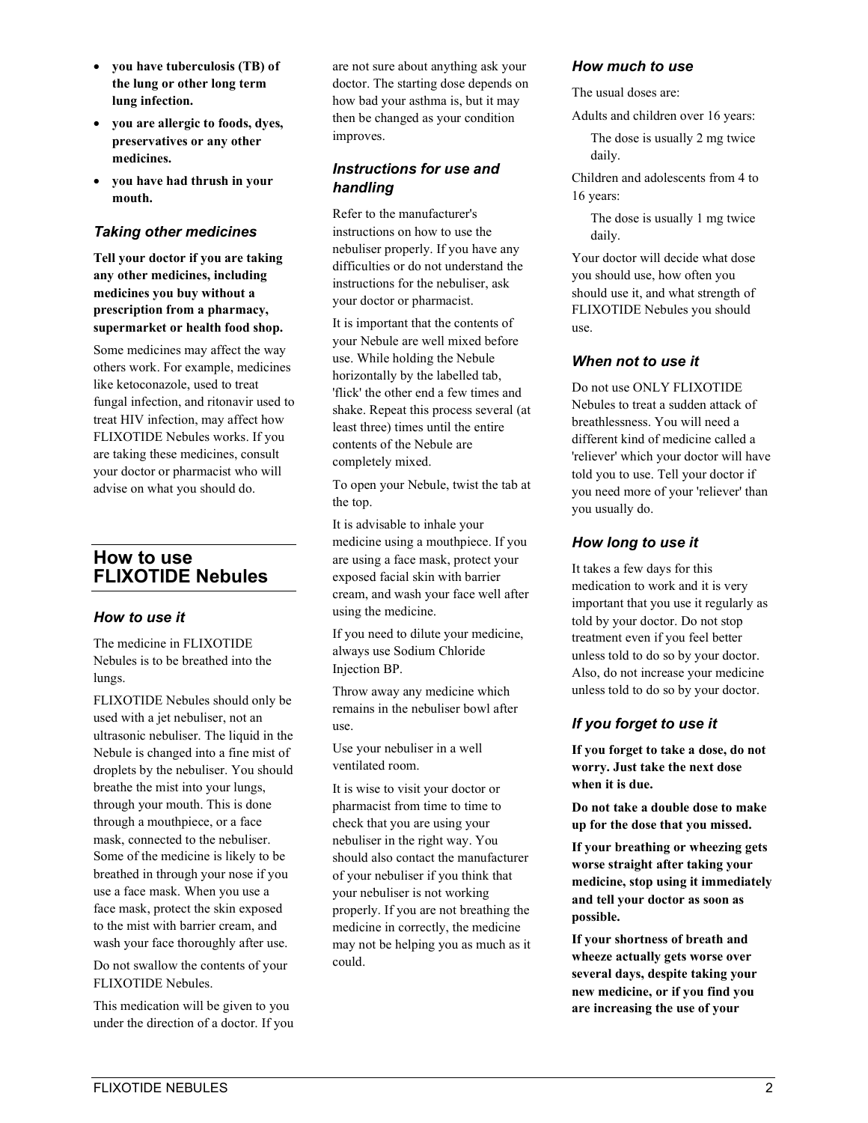- vou have tuberculosis (TB) of the lung or other long term lung infection.
- you are allergic to foods, dyes, preservatives or any other medicines.
- you have had thrush in your mouth.

#### Taking other medicines

Tell your doctor if you are taking any other medicines, including medicines you buy without a prescription from a pharmacy, supermarket or health food shop.

Some medicines may affect the way others work. For example, medicines like ketoconazole, used to treat fungal infection, and ritonavir used to treat HIV infection, may affect how FLIXOTIDE Nebules works. If you are taking these medicines, consult your doctor or pharmacist who will advise on what you should do.

# How to use FLIXOTIDE Nebules

## How to use it

The medicine in FLIXOTIDE Nebules is to be breathed into the lungs.

FLIXOTIDE Nebules should only be used with a jet nebuliser, not an ultrasonic nebuliser. The liquid in the Nebule is changed into a fine mist of droplets by the nebuliser. You should breathe the mist into your lungs, through your mouth. This is done through a mouthpiece, or a face mask, connected to the nebuliser. Some of the medicine is likely to be breathed in through your nose if you use a face mask. When you use a face mask, protect the skin exposed to the mist with barrier cream, and wash your face thoroughly after use.

Do not swallow the contents of your FLIXOTIDE Nebules.

This medication will be given to you under the direction of a doctor. If you are not sure about anything ask your doctor. The starting dose depends on how bad your asthma is, but it may then be changed as your condition improves.

## Instructions for use and handling

Refer to the manufacturer's instructions on how to use the nebuliser properly. If you have any difficulties or do not understand the instructions for the nebuliser, ask your doctor or pharmacist.

It is important that the contents of your Nebule are well mixed before use. While holding the Nebule horizontally by the labelled tab, 'flick' the other end a few times and shake. Repeat this process several (at least three) times until the entire contents of the Nebule are completely mixed.

To open your Nebule, twist the tab at the top.

It is advisable to inhale your medicine using a mouthpiece. If you are using a face mask, protect your exposed facial skin with barrier cream, and wash your face well after using the medicine.

If you need to dilute your medicine, always use Sodium Chloride Injection BP.

Throw away any medicine which remains in the nebuliser bowl after use.

Use your nebuliser in a well ventilated room.

It is wise to visit your doctor or pharmacist from time to time to check that you are using your nebuliser in the right way. You should also contact the manufacturer of your nebuliser if you think that your nebuliser is not working properly. If you are not breathing the medicine in correctly, the medicine may not be helping you as much as it could.

## How much to use

The usual doses are:

- Adults and children over 16 years:
	- The dose is usually 2 mg twice daily.

Children and adolescents from 4 to 16 years:

The dose is usually 1 mg twice daily.

Your doctor will decide what dose you should use, how often you should use it, and what strength of FLIXOTIDE Nebules you should use.

#### When not to use it

Do not use ONLY FLIXOTIDE Nebules to treat a sudden attack of breathlessness. You will need a different kind of medicine called a 'reliever' which your doctor will have told you to use. Tell your doctor if you need more of your 'reliever' than you usually do.

## How long to use it

It takes a few days for this medication to work and it is very important that you use it regularly as told by your doctor. Do not stop treatment even if you feel better unless told to do so by your doctor. Also, do not increase your medicine unless told to do so by your doctor.

## If you forget to use it

If you forget to take a dose, do not worry. Just take the next dose when it is due.

Do not take a double dose to make up for the dose that you missed.

If your breathing or wheezing gets worse straight after taking your medicine, stop using it immediately and tell your doctor as soon as possible.

If your shortness of breath and wheeze actually gets worse over several days, despite taking your new medicine, or if you find you are increasing the use of your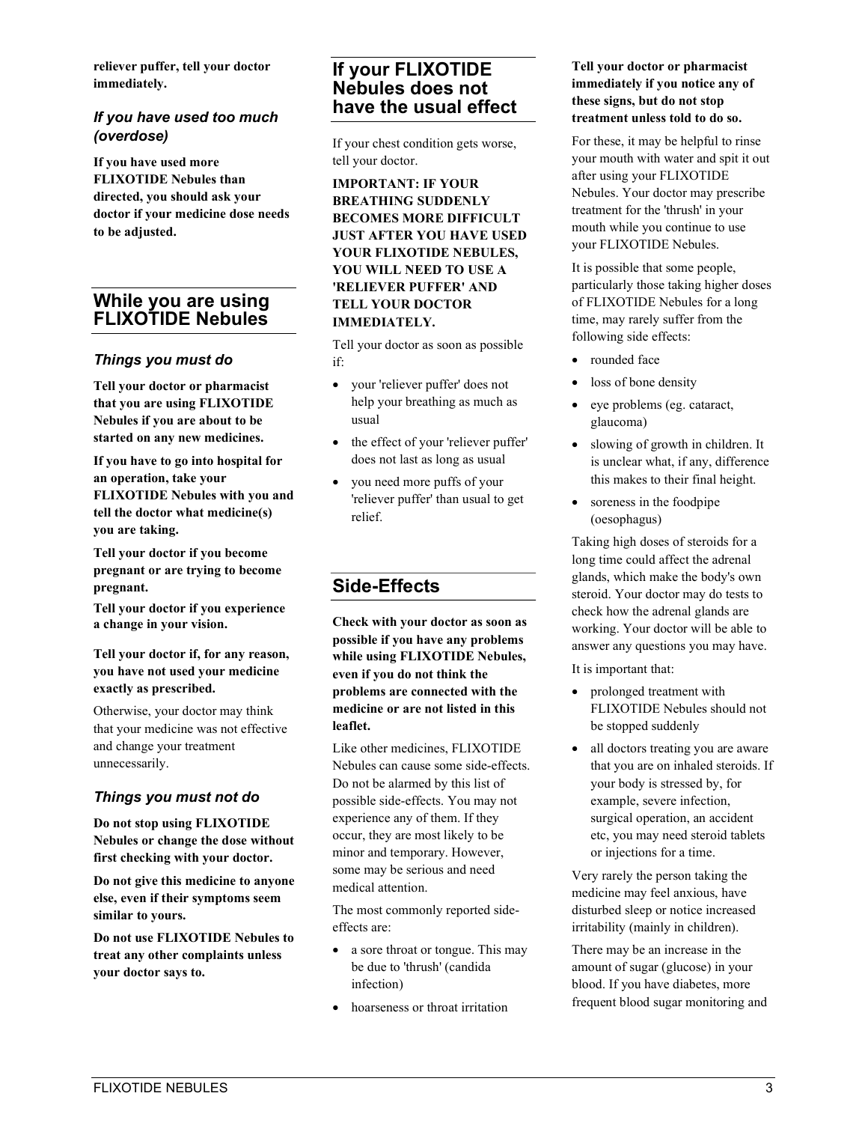reliever puffer, tell your doctor immediately.

## If you have used too much (overdose)

If you have used more FLIXOTIDE Nebules than directed, you should ask your doctor if your medicine dose needs to be adjusted.

# While you are using FLIXOTIDE Nebules

## Things you must do

Tell your doctor or pharmacist that you are using FLIXOTIDE Nebules if you are about to be started on any new medicines.

If you have to go into hospital for an operation, take your FLIXOTIDE Nebules with you and tell the doctor what medicine(s) you are taking.

Tell your doctor if you become pregnant or are trying to become pregnant.

Tell your doctor if you experience a change in your vision.

Tell your doctor if, for any reason, you have not used your medicine exactly as prescribed.

Otherwise, your doctor may think that your medicine was not effective and change your treatment unnecessarily.

## Things you must not do

Do not stop using FLIXOTIDE Nebules or change the dose without first checking with your doctor.

Do not give this medicine to anyone else, even if their symptoms seem similar to yours.

Do not use FLIXOTIDE Nebules to treat any other complaints unless your doctor says to.

# If your FLIXOTIDE Nebules does not have the usual effect

If your chest condition gets worse, tell your doctor.

IMPORTANT: IF YOUR BREATHING SUDDENLY BECOMES MORE DIFFICULT JUST AFTER YOU HAVE USED YOUR FLIXOTIDE NEBULES, YOU WILL NEED TO USE A 'RELIEVER PUFFER' AND TELL YOUR DOCTOR IMMEDIATELY.

Tell your doctor as soon as possible if:

- your 'reliever puffer' does not help your breathing as much as usual
- the effect of your 'reliever puffer' does not last as long as usual
- you need more puffs of your 'reliever puffer' than usual to get relief.

# Side-Effects

Check with your doctor as soon as possible if you have any problems while using FLIXOTIDE Nebules, even if you do not think the problems are connected with the medicine or are not listed in this leaflet.

Like other medicines, FLIXOTIDE Nebules can cause some side-effects. Do not be alarmed by this list of possible side-effects. You may not experience any of them. If they occur, they are most likely to be minor and temporary. However, some may be serious and need medical attention.

The most commonly reported sideeffects are:

- a sore throat or tongue. This may be due to 'thrush' (candida infection)
- hoarseness or throat irritation

#### Tell your doctor or pharmacist immediately if you notice any of these signs, but do not stop treatment unless told to do so.

For these, it may be helpful to rinse your mouth with water and spit it out after using your FLIXOTIDE Nebules. Your doctor may prescribe treatment for the 'thrush' in your mouth while you continue to use your FLIXOTIDE Nebules.

It is possible that some people, particularly those taking higher doses of FLIXOTIDE Nebules for a long time, may rarely suffer from the following side effects:

- rounded face
- loss of bone density
- eye problems (eg. cataract, glaucoma)
- slowing of growth in children. It is unclear what, if any, difference this makes to their final height.
- soreness in the foodpipe (oesophagus)

Taking high doses of steroids for a long time could affect the adrenal glands, which make the body's own steroid. Your doctor may do tests to check how the adrenal glands are working. Your doctor will be able to answer any questions you may have.

It is important that:

- prolonged treatment with FLIXOTIDE Nebules should not be stopped suddenly
- all doctors treating you are aware that you are on inhaled steroids. If your body is stressed by, for example, severe infection, surgical operation, an accident etc, you may need steroid tablets or injections for a time.

Very rarely the person taking the medicine may feel anxious, have disturbed sleep or notice increased irritability (mainly in children).

There may be an increase in the amount of sugar (glucose) in your blood. If you have diabetes, more frequent blood sugar monitoring and